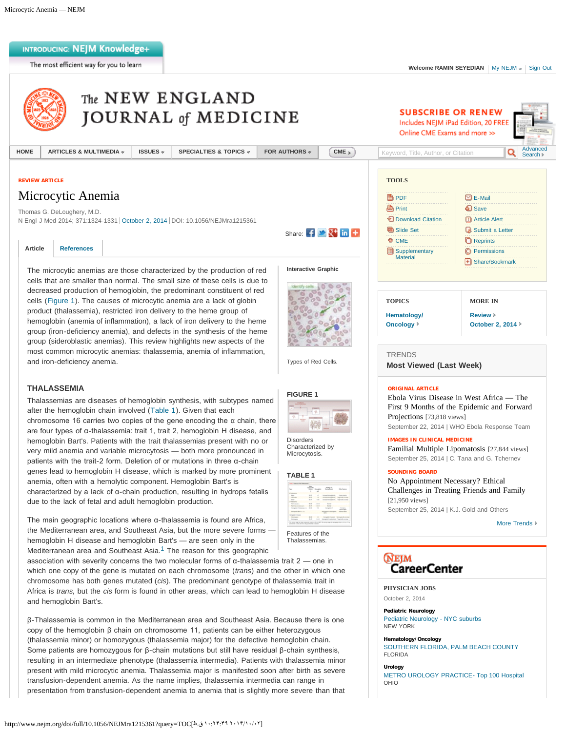# <span id="page-0-0"></span>**INTRODUCING: NEJM Knowledge+**

**MORE IN [Review](http://www.nejm.org/browse?category=review) [October 2, 2014](http://www.nejm.org/toc/nejm/371/14/)**

 $\nabla$  F-Mail **[Save](http://www.nejm.org/action/addTag?doi=10.1056%2FNEJMra1215361) D** [Article Alert](http://www.nejm.org/action/addArticleAlert?context=add&doi=10.1056%2FNEJMra1215361) **Q** [Submit a Letter](http://www.nejm.org/action/cdfProxy?action=authorCenter) **C** [Reprints](http://www.nejm.org/page/about-nejm/reprints) **C** [Permissions](javascript:RightslinkPopUp() [Share/Bookmark](http://www.addthis.com/bookmark.php)



# The NEW ENGLAND **JOURNAL of MEDICINE**

#### **REVIEW ARTICLE**

# Microcytic Anemia

Thomas G. DeLoughery, M.D. N Engl J Med 2014; 371:1324-1331 [October 2, 2014](http://www.nejm.org/toc/nejm/371/14/) DOI: 10.1056/NEJMra1215361

Share:  $f \times \mathbb{R}^+$  in  $f$ 

**Interactive Graphic**

**Article References**

The microcytic anemias are those characterized by the production of red cells that are smaller than normal. The small size of these cells is due to decreased production of hemoglobin, the predominant constituent of red cells [\(Figure 1](http://www.nejm.org/action/showImage?doi=10.1056%2FNEJMra1215361&iid=f01)). The causes of microcytic anemia are a lack of globin product (thalassemia), restricted iron delivery to the heme group of hemoglobin (anemia of inflammation), a lack of iron delivery to the heme group (iron-deficiency anemia), and defects in the synthesis of the heme group (sideroblastic anemias). This review highlights new aspects of the most common microcytic anemias: thalassemia, anemia of inflammation, and iron-deficiency anemia.

# **THALASSEMIA**

Thalassemias are diseases of hemoglobin synthesis, with subtypes named after the hemoglobin chain involved ([Table 1](http://www.nejm.org/action/showImage?doi=10.1056%2FNEJMra1215361&iid=t01)). Given that each chromosome 16 carries two copies of the gene encoding the α chain, there are four types of α-thalassemia: trait 1, trait 2, hemoglobin H disease, and hemoglobin Bart's. Patients with the trait thalassemias present with no or very mild anemia and variable microcytosis — both more pronounced in patients with the trait-2 form. Deletion of or mutations in three α-chain genes lead to hemoglobin H disease, which is marked by more prominent anemia, often with a hemolytic component. Hemoglobin Bart's is characterized by a lack of α-chain production, resulting in hydrops fetalis due to the lack of fetal and adult hemoglobin production.

The main geographic locations where α-thalassemia is found are Africa, the Mediterranean area, and Southeast Asia, but the more severe forms hemoglobin H disease and hemoglobin Bart's — are seen only in the Mediterranean area and Southeast Asia.<sup>[1](#page-0-0)</sup> The reason for this geographic

association with severity concerns the two molecular forms of α-thalassemia trait 2 — one in which one copy of the gene is mutated on each chromosome (*trans*) and the other in which one chromosome has both genes mutated (*cis*). The predominant genotype of thalassemia trait in Africa is *trans,* but the *cis* form is found in other areas, which can lead to hemoglobin H disease and hemoglobin Bart's.

β-Thalassemia is common in the Mediterranean area and Southeast Asia. Because there is one copy of the hemoglobin β chain on chromosome 11, patients can be either heterozygous (thalassemia minor) or homozygous (thalassemia major) for the defective hemoglobin chain. Some patients are homozygous for β-chain mutations but still have residual β-chain synthesis, resulting in an intermediate phenotype (thalassemia intermedia). Patients with thalassemia minor present with mild microcytic anemia. Thalassemia major is manifested soon after birth as severe transfusion-dependent anemia. As the name implies, thalassemia intermedia can range in presentation from transfusion-dependent anemia to anemia that is slightly more severe than that



Types of Red Cells.

#### **FIGURE 1**



Disorders Characterized by Microcytosis.

#### **TABLE 1**



Features of the Thalassemias.



**PHYSICIAN JOBS** October 2, 2014

**TOPICS [Hematology/](http://www.nejm.org/browse?subtopic=2_1) [Oncology](http://www.nejm.org/browse?subtopic=2_1)**

**A** [PDF](http://www.nejm.org/doi/pdf/10.1056/NEJMra1215361) [Print](http://www.nejm.org/doi/full/10.1056/NEJMra1215361)

**TOOLS**

*<u>D</u>* [Download Citation](http://www.nejm.org/action/showCitFormats?doi=10.1056%2FNEJMra1215361) [Slide Set](http://www.nejm.org/action/showPowerPoint?doi=10.1056%2FNEJMra1215361) [CME](http://www.nejm.org/doi/exam/10.1056/NEJMcme1215361) [Supplementary](http://www.nejm.org/action/showSupplements?doi=10.1056%2FNEJMra1215361) **[Material](http://www.nejm.org/action/showSupplements?doi=10.1056%2FNEJMra1215361)** 

TRENDS

**ORIGINAL ARTICLE**

**SOUNDING BOARD**

[21,950 views]

**Most Viewed (Last Week)**

[Projections \[](http://www.nejm.org/doi/full/10.1056/NEJMoa1411100)73,818 views]

**IMAGES IN CLINICAL MEDICINE**

[Ebola Virus Disease in West Africa — The](http://www.nejm.org/doi/full/10.1056/NEJMoa1411100) [First 9 Months of the Epidemic and Forward](http://www.nejm.org/doi/full/10.1056/NEJMoa1411100)

September 22, 2014 | WHO Ebola Response Team

[Familial Multiple Lipomatosis](http://www.nejm.org/doi/full/10.1056/NEJMicm1316241) [27,844 views] September 25, 2014 | C. Tana and G. Tchernev

[No Appointment Necessary? Ethical](http://www.nejm.org/doi/full/10.1056/NEJMsb1402963) [Challenges in Treating Friends and Family](http://www.nejm.org/doi/full/10.1056/NEJMsb1402963)

September 25, 2014 | K.J. Gold and Others

[More Trends](http://www.nejm.org/journal-articles)

**Pediatric Neurology** [Pediatric Neurology - NYC suburbs](http://www.nejmcareercenter.org/job/49084/pediatric-neurology-nyc-suburbs/?query=fjwp&rid=3059) NEW YORK

**Hematology/Oncology** [SOUTHERN FLORIDA, PALM BEACH COUNTY](http://www.nejmcareercenter.org/job/47909/southern-florida-palm-beach-county/?query=fjwp&rid=748) FLORIDA

**Urology** [METRO UROLOGY PRACTICE- Top 100 Hospital](http://www.nejmcareercenter.org/job/48468/metro-urology-practice-top-100-hospital/?query=fjwf&rid=12382) OHIO

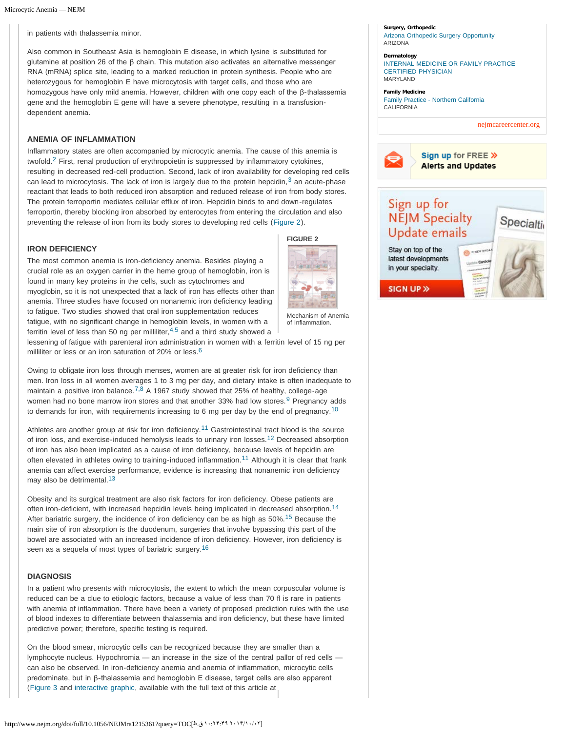in patients with thalassemia minor.

Also common in Southeast Asia is hemoglobin E disease, in which lysine is substituted for glutamine at position 26 of the β chain. This mutation also activates an alternative messenger RNA (mRNA) splice site, leading to a marked reduction in protein synthesis. People who are heterozygous for hemoglobin E have microcytosis with target cells, and those who are homozygous have only mild anemia. However, children with one copy each of the β-thalassemia gene and the hemoglobin E gene will have a severe phenotype, resulting in a transfusiondependent anemia.

### **ANEMIA OF INFLAMMATION**

Inflammatory states are often accompanied by microcytic anemia. The cause of this anemia is twofold.<sup>[2](#page-0-0)</sup> First, renal production of erythropoietin is suppressed by inflammatory cytokines, resulting in decreased red-cell production. Second, lack of iron availability for developing red cells can lead to microcytosis. The lack of iron is largely due to the protein hepcidin,<sup>[3](#page-0-0)</sup> an acute-phase reactant that leads to both reduced iron absorption and reduced release of iron from body stores. The protein ferroportin mediates cellular efflux of iron. Hepcidin binds to and down-regulates ferroportin, thereby blocking iron absorbed by enterocytes from entering the circulation and also preventing the release of iron from its body stores to developing red cells ([Figure 2\)](http://www.nejm.org/action/showImage?doi=10.1056%2FNEJMra1215361&iid=f02).

#### **IRON DEFICIENCY**

The most common anemia is iron-deficiency anemia. Besides playing a crucial role as an oxygen carrier in the heme group of hemoglobin, iron is found in many key proteins in the cells, such as cytochromes and myoglobin, so it is not unexpected that a lack of iron has effects other than anemia. Three studies have focused on nonanemic iron deficiency leading to fatigue. Two studies showed that oral iron supplementation reduces fatigue, with no significant change in hemoglobin levels, in women with a ferritin level of less than 50 ng per milliliter, $4,5$  and a third study showed a



Mechanism of Anemia of Inflammation.

lessening of fatigue with parenteral iron administration in women with a ferritin level of 15 ng per milliliter or less or an iron saturation of 20% or less.<sup>[6](#page-0-0)</sup>

Owing to obligate iron loss through menses, women are at greater risk for iron deficiency than men. Iron loss in all women averages 1 to 3 mg per day, and dietary intake is often inadequate to maintain a positive iron balance.<sup>[7,8](#page-0-0)</sup> A 1967 study showed that 25% of healthy, college-age women had no bone marrow iron stores and that another 33% had low stores.<sup>[9](#page-0-0)</sup> Pregnancy adds to demands for iron, with requirements increasing to 6 mg per day by the end of pregnancy.<sup>[10](#page-0-0)</sup>

Athletes are another group at risk for iron deficiency.<sup>[11](#page-0-0)</sup> Gastrointestinal tract blood is the source of iron loss, and exercise-induced hemolysis leads to urinary iron losses.<sup>[12](#page-0-0)</sup> Decreased absorption of iron has also been implicated as a cause of iron deficiency, because levels of hepcidin are often elevated in athletes owing to training-induced inflammation.<sup>[11](#page-0-0)</sup> Although it is clear that frank anemia can affect exercise performance, evidence is increasing that nonanemic iron deficiency may also be detrimental.<sup>[13](#page-0-0)</sup>

Obesity and its surgical treatment are also risk factors for iron deficiency. Obese patients are often iron-deficient, with increased hepcidin levels being implicated in decreased absorption.<sup>[14](#page-0-0)</sup> After bariatric surgery, the incidence of iron deficiency can be as high as 50%.<sup>[15](#page-0-0)</sup> Because the main site of iron absorption is the duodenum, surgeries that involve bypassing this part of the bowel are associated with an increased incidence of iron deficiency. However, iron deficiency is seen as a sequela of most types of bariatric surgery.<sup>[16](#page-0-0)</sup>

#### **DIAGNOSIS**

In a patient who presents with microcytosis, the extent to which the mean corpuscular volume is reduced can be a clue to etiologic factors, because a value of less than 70 fl is rare in patients with anemia of inflammation. There have been a variety of proposed prediction rules with the use of blood indexes to differentiate between thalassemia and iron deficiency, but these have limited predictive power; therefore, specific testing is required.

On the blood smear, microcytic cells can be recognized because they are smaller than a lymphocyte nucleus. Hypochromia — an increase in the size of the central pallor of red cells can also be observed. In iron-deficiency anemia and anemia of inflammation, microcytic cells predominate, but in β-thalassemia and hemoglobin E disease, target cells are also apparent ([Figure 3](http://www.nejm.org/action/showImage?doi=10.1056%2FNEJMra1215361&iid=f03) and [interactive graphic,](http://www.nejm.org/action/showMediaPlayer?doi=10.1056%2FNEJMra1215361&aid=NEJMra1215361_attach_1&area=) available with the full text of this article at

**Surgery, Orthopedic** [Arizona Orthopedic Surgery Opportunity](http://www.nejmcareercenter.org/job/45881/arizona-orthopedic-surgery-opportunity/?query=fjwf&rid=5263) ARIZONA

#### **Dermatology**

[INTERNAL MEDICINE OR FAMILY PRACTICE](http://www.nejmcareercenter.org/job/46433/internal-medicine-or-family-practice-certified-physician/?query=fjwf&rid=1002) [CERTIFIED PHYSICIAN](http://www.nejmcareercenter.org/job/46433/internal-medicine-or-family-practice-certified-physician/?query=fjwf&rid=1002) MARYLAND

**Family Medicine** [Family Practice - Northern California](http://www.nejmcareercenter.org/job/49368/family-practice-northern-california/?query=fjwf&rid=5263) **CALIFORNIA** 

[nejmcareercenter.org](http://www.nejmcareercenter.org/?query=fjw)



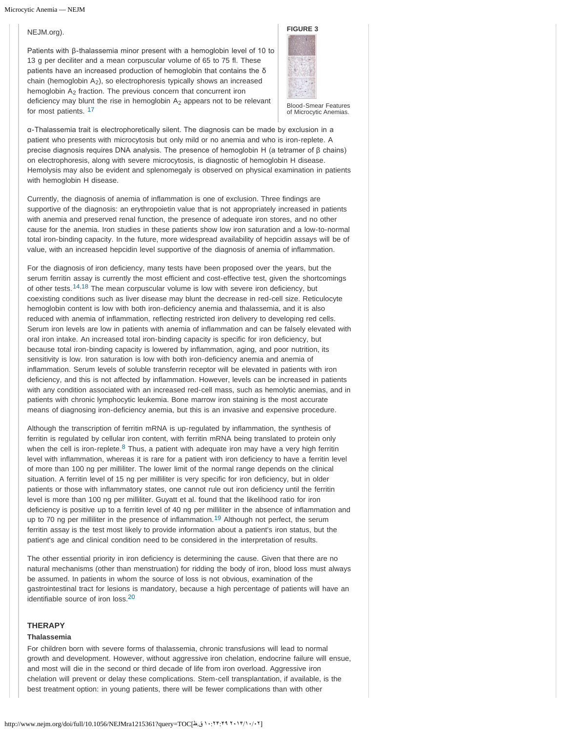#### NEJM.org).

Patients with β-thalassemia minor present with a hemoglobin level of 10 to 13 g per deciliter and a mean corpuscular volume of 65 to 75 fl. These patients have an increased production of hemoglobin that contains the  $\delta$ chain (hemoglobin  $A_2$ ), so electrophoresis typically shows an increased hemoglobin  $A_2$  fraction. The previous concern that concurrent iron deficiency may blunt the rise in hemoglobin  $A_2$  appears not to be relevant for most patients. <sup>[17](#page-0-0)</sup>



Blood-Smear Features of Microcytic Anemias.

α-Thalassemia trait is electrophoretically silent. The diagnosis can be made by exclusion in a patient who presents with microcytosis but only mild or no anemia and who is iron-replete. A precise diagnosis requires DNA analysis. The presence of hemoglobin H (a tetramer of β chains) on electrophoresis, along with severe microcytosis, is diagnostic of hemoglobin H disease. Hemolysis may also be evident and splenomegaly is observed on physical examination in patients with hemoglobin H disease.

Currently, the diagnosis of anemia of inflammation is one of exclusion. Three findings are supportive of the diagnosis: an erythropoietin value that is not appropriately increased in patients with anemia and preserved renal function, the presence of adequate iron stores, and no other cause for the anemia. Iron studies in these patients show low iron saturation and a low-to-normal total iron-binding capacity. In the future, more widespread availability of hepcidin assays will be of value, with an increased hepcidin level supportive of the diagnosis of anemia of inflammation.

For the diagnosis of iron deficiency, many tests have been proposed over the years, but the serum ferritin assay is currently the most efficient and cost-effective test, given the shortcomings of other tests.<sup>[14,18](#page-0-0)</sup> The mean corpuscular volume is low with severe iron deficiency, but coexisting conditions such as liver disease may blunt the decrease in red-cell size. Reticulocyte hemoglobin content is low with both iron-deficiency anemia and thalassemia, and it is also reduced with anemia of inflammation, reflecting restricted iron delivery to developing red cells. Serum iron levels are low in patients with anemia of inflammation and can be falsely elevated with oral iron intake. An increased total iron-binding capacity is specific for iron deficiency, but because total iron-binding capacity is lowered by inflammation, aging, and poor nutrition, its sensitivity is low. Iron saturation is low with both iron-deficiency anemia and anemia of inflammation. Serum levels of soluble transferrin receptor will be elevated in patients with iron deficiency, and this is not affected by inflammation. However, levels can be increased in patients with any condition associated with an increased red-cell mass, such as hemolytic anemias, and in patients with chronic lymphocytic leukemia. Bone marrow iron staining is the most accurate means of diagnosing iron-deficiency anemia, but this is an invasive and expensive procedure.

Although the transcription of ferritin mRNA is up-regulated by inflammation, the synthesis of ferritin is regulated by cellular iron content, with ferritin mRNA being translated to protein only when the cell is iron-replete.<sup>[8](#page-0-0)</sup> Thus, a patient with adequate iron may have a very high ferritin level with inflammation, whereas it is rare for a patient with iron deficiency to have a ferritin level of more than 100 ng per milliliter. The lower limit of the normal range depends on the clinical situation. A ferritin level of 15 ng per milliliter is very specific for iron deficiency, but in older patients or those with inflammatory states, one cannot rule out iron deficiency until the ferritin level is more than 100 ng per milliliter. Guyatt et al. found that the likelihood ratio for iron deficiency is positive up to a ferritin level of 40 ng per milliliter in the absence of inflammation and up to 70 ng per milliliter in the presence of inflammation.<sup>[19](#page-0-0)</sup> Although not perfect, the serum ferritin assay is the test most likely to provide information about a patient's iron status, but the patient's age and clinical condition need to be considered in the interpretation of results.

The other essential priority in iron deficiency is determining the cause. Given that there are no natural mechanisms (other than menstruation) for ridding the body of iron, blood loss must always be assumed. In patients in whom the source of loss is not obvious, examination of the gastrointestinal tract for lesions is mandatory, because a high percentage of patients will have an identifiable source of iron loss. [20](#page-0-0)

#### **THERAPY**

#### **Thalassemia**

For children born with severe forms of thalassemia, chronic transfusions will lead to normal growth and development. However, without aggressive iron chelation, endocrine failure will ensue, and most will die in the second or third decade of life from iron overload. Aggressive iron chelation will prevent or delay these complications. Stem-cell transplantation, if available, is the best treatment option: in young patients, there will be fewer complications than with other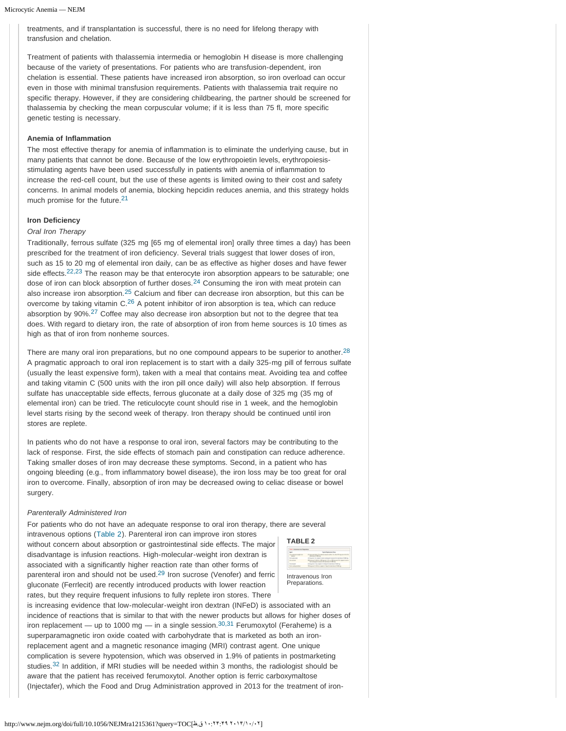treatments, and if transplantation is successful, there is no need for lifelong therapy with transfusion and chelation.

Treatment of patients with thalassemia intermedia or hemoglobin H disease is more challenging because of the variety of presentations. For patients who are transfusion-dependent, iron chelation is essential. These patients have increased iron absorption, so iron overload can occur even in those with minimal transfusion requirements. Patients with thalassemia trait require no specific therapy. However, if they are considering childbearing, the partner should be screened for thalassemia by checking the mean corpuscular volume; if it is less than 75 fl, more specific genetic testing is necessary.

#### **Anemia of Inflammation**

The most effective therapy for anemia of inflammation is to eliminate the underlying cause, but in many patients that cannot be done. Because of the low erythropoietin levels, erythropoiesisstimulating agents have been used successfully in patients with anemia of inflammation to increase the red-cell count, but the use of these agents is limited owing to their cost and safety concerns. In animal models of anemia, blocking hepcidin reduces anemia, and this strategy holds much promise for the future. [21](#page-0-0)

#### **Iron Deficiency**

#### *Oral Iron Therapy*

Traditionally, ferrous sulfate (325 mg [65 mg of elemental iron] orally three times a day) has been prescribed for the treatment of iron deficiency. Several trials suggest that lower doses of iron, such as 15 to 20 mg of elemental iron daily, can be as effective as higher doses and have fewer side effects.<sup>[22,23](#page-0-0)</sup> The reason may be that enterocyte iron absorption appears to be saturable; one dose of iron can block absorption of further doses. $24$  Consuming the iron with meat protein can also increase iron absorption.<sup>[25](#page-0-0)</sup> Calcium and fiber can decrease iron absorption, but this can be overcome by taking vitamin  $C^{26}$  $C^{26}$  $C^{26}$  A potent inhibitor of iron absorption is tea, which can reduce absorption by 90%.<sup>[27](#page-0-0)</sup> Coffee may also decrease iron absorption but not to the degree that tea does. With regard to dietary iron, the rate of absorption of iron from heme sources is 10 times as high as that of iron from nonheme sources.

There are many oral iron preparations, but no one compound appears to be superior to another.<sup>[28](#page-0-0)</sup> A pragmatic approach to oral iron replacement is to start with a daily 325-mg pill of ferrous sulfate (usually the least expensive form), taken with a meal that contains meat. Avoiding tea and coffee and taking vitamin C (500 units with the iron pill once daily) will also help absorption. If ferrous sulfate has unacceptable side effects, ferrous gluconate at a daily dose of 325 mg (35 mg of elemental iron) can be tried. The reticulocyte count should rise in 1 week, and the hemoglobin level starts rising by the second week of therapy. Iron therapy should be continued until iron stores are replete.

In patients who do not have a response to oral iron, several factors may be contributing to the lack of response. First, the side effects of stomach pain and constipation can reduce adherence. Taking smaller doses of iron may decrease these symptoms. Second, in a patient who has ongoing bleeding (e.g., from inflammatory bowel disease), the iron loss may be too great for oral iron to overcome. Finally, absorption of iron may be decreased owing to celiac disease or bowel surgery.

#### *Parenterally Administered Iron*

**TABLE 2** For patients who do not have an adequate response to oral iron therapy, there are several intravenous options [\(Table 2](http://www.nejm.org/action/showImage?doi=10.1056%2FNEJMra1215361&iid=t02)). Parenteral iron can improve iron stores without concern about absorption or gastrointestinal side effects. The major disadvantage is infusion reactions. High-molecular-weight iron dextran is associated with a significantly higher reaction rate than other forms of parenteral iron and should not be used.<sup>[29](#page-0-0)</sup> Iron sucrose (Venofer) and ferric gluconate (Ferrlecit) are recently introduced products with lower reaction

rates, but they require frequent infusions to fully replete iron stores. There



Intravenous Iron Preparations.

is increasing evidence that low-molecular-weight iron dextran (INFeD) is associated with an incidence of reactions that is similar to that with the newer products but allows for higher doses of iron replacement — up to 1000 mg — in a single session.<sup>[30,31](#page-0-0)</sup> Ferumoxytol (Feraheme) is a superparamagnetic iron oxide coated with carbohydrate that is marketed as both an ironreplacement agent and a magnetic resonance imaging (MRI) contrast agent. One unique complication is severe hypotension, which was observed in 1.9% of patients in postmarketing studies. $32$  In addition, if MRI studies will be needed within 3 months, the radiologist should be aware that the patient has received ferumoxytol. Another option is ferric carboxymaltose (Injectafer), which the Food and Drug Administration approved in 2013 for the treatment of iron